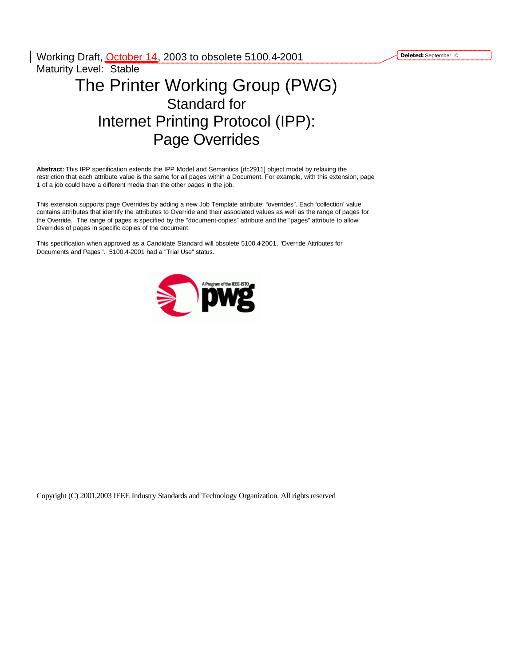**Deleted:** September 10

Working Draft, October 14, 2003 to obsolete 5100.4-2001 Maturity Level: Stable

# The Printer Working Group (PWG) Standard for Internet Printing Protocol (IPP): Page Overrides

**Abstract:** This IPP specification extends the IPP Model and Semantics [rfc2911] object model by relaxing the restriction that each attribute value is the same for all pages within a Document. For example, with this extension, page 1 of a job could have a different media than the other pages in the job.

This extension supports page Overrides by adding a new Job Template attribute: "overrides". Each 'collection' value contains attributes that identify the attributes to Override and their associated values as well as the range of pages for the Override. The range of pages is specified by the "document-copies" attribute and the "pages" attribute to allow Overrides of pages in specific copies of the document.

This specification when approved as a Candidate Standard will obsolete 5100.4-2001, "Override Attributes for Documents and Pages ". 5100.4-2001 had a "Trial Use" status.



Copyright (C) 2001,2003 IEEE Industry Standards and Technology Organization. All rights reserved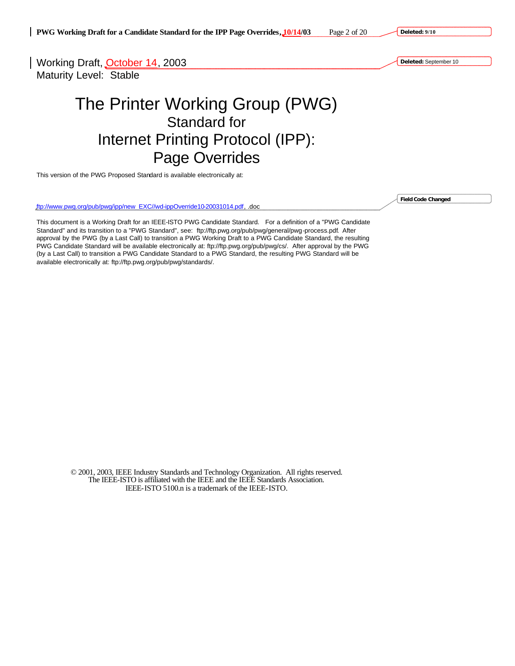Working Draft, October 14, 2003 Maturity Level: Stable

# The Printer Working Group (PWG) Standard for Internet Printing Protocol (IPP): Page Overrides

This version of the PWG Proposed Standard is available electronically at:

ftp://www.pwg.org/pub/pwg/ipp/new\_EXC//wd-ippOverride10-20031014.pdf, .doc

This document is a Working Draft for an IEEE-ISTO PWG Candidate Standard. For a definition of a "PWG Candidate Standard" and its transition to a "PWG Standard", see: ftp://ftp.pwg.org/pub/pwg/general/pwg-process.pdf. After approval by the PWG (by a Last Call) to transition a PWG Working Draft to a PWG Candidate Standard, the resulting PWG Candidate Standard will be available electronically at: ftp://ftp.pwg.org/pub/pwg/cs/. After approval by the PWG (by a Last Call) to transition a PWG Candidate Standard to a PWG Standard, the resulting PWG Standard will be available electronically at: ftp://ftp.pwg.org/pub/pwg/standards/.

© 2001, 2003, IEEE Industry Standards and Technology Organization. All rights reserved. The IEEE-ISTO is affiliated with the IEEE and the IEEE Standards Association. IEEE-ISTO 5100.n is a trademark of the IEEE-ISTO.

**Field Code Changed**

**Deleted:** September 10

**Deleted: 9/10**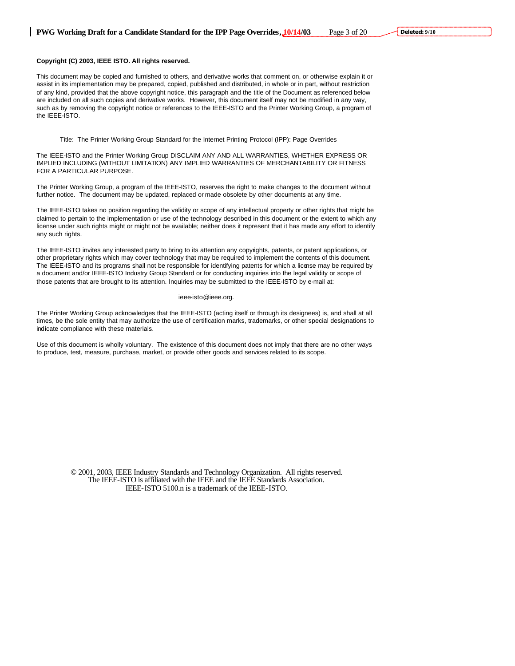**Deleted: 9/10**

#### **Copyright (C) 2003, IEEE ISTO. All rights reserved.**

This document may be copied and furnished to others, and derivative works that comment on, or otherwise explain it or assist in its implementation may be prepared, copied, published and distributed, in whole or in part, without restriction of any kind, provided that the above copyright notice, this paragraph and the title of the Document as referenced below are included on all such copies and derivative works. However, this document itself may not be modified in any way, such as by removing the copyright notice or references to the IEEE-ISTO and the Printer Working Group, a program of the IEEE-ISTO.

Title: The Printer Working Group Standard for the Internet Printing Protocol (IPP): Page Overrides

The IEEE-ISTO and the Printer Working Group DISCLAIM ANY AND ALL WARRANTIES, WHETHER EXPRESS OR IMPLIED INCLUDING (WITHOUT LIMITATION) ANY IMPLIED WARRANTIES OF MERCHANTABILITY OR FITNESS FOR A PARTICULAR PURPOSE.

The Printer Working Group, a program of the IEEE-ISTO, reserves the right to make changes to the document without further notice. The document may be updated, replaced or made obsolete by other documents at any time.

The IEEE-ISTO takes no position regarding the validity or scope of any intellectual property or other rights that might be claimed to pertain to the implementation or use of the technology described in this document or the extent to which any license under such rights might or might not be available; neither does it represent that it has made any effort to identify any such rights.

The IEEE-ISTO invites any interested party to bring to its attention any copyrights, patents, or patent applications, or other proprietary rights which may cover technology that may be required to implement the contents of this document. The IEEE-ISTO and its programs shall not be responsible for identifying patents for which a license may be required by a document and/or IEEE-ISTO Industry Group Standard or for conducting inquiries into the legal validity or scope of those patents that are brought to its attention. Inquiries may be submitted to the IEEE-ISTO by e-mail at:

#### ieee-isto@ieee.org.

The Printer Working Group acknowledges that the IEEE-ISTO (acting itself or through its designees) is, and shall at all times, be the sole entity that may authorize the use of certification marks, trademarks, or other special designations to indicate compliance with these materials.

Use of this document is wholly voluntary. The existence of this document does not imply that there are no other ways to produce, test, measure, purchase, market, or provide other goods and services related to its scope.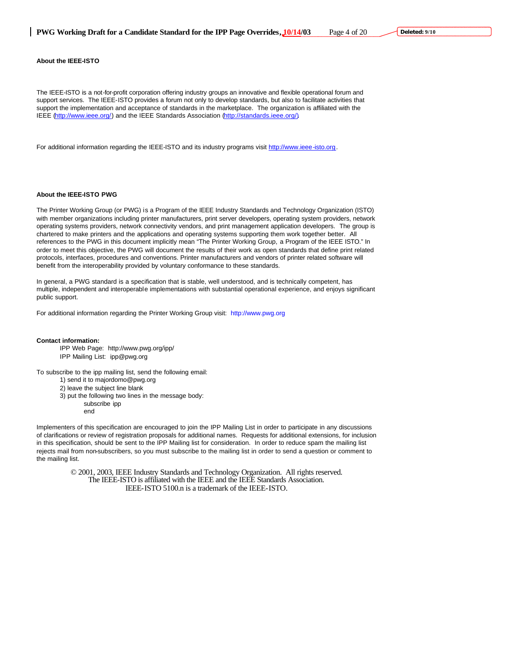**Deleted: 9/10**

The IEEE-ISTO is a not-for-profit corporation offering industry groups an innovative and flexible operational forum and support services. The IEEE-ISTO provides a forum not only to develop standards, but also to facilitate activities that support the implementation and acceptance of standards in the marketplace. The organization is affiliated with the IEEE (http://www.ieee.org/) and the IEEE Standards Association (http://standards.ieee.org/).

For additional information regarding the IEEE-ISTO and its industry programs visit http://www.ieee-isto.org.

#### **About the IEEE-ISTO PWG**

The Printer Working Group (or PWG) is a Program of the IEEE Industry Standards and Technology Organization (ISTO) with member organizations including printer manufacturers, print server developers, operating system providers, network operating systems providers, network connectivity vendors, and print management application developers. The group is chartered to make printers and the applications and operating systems supporting them work together better. All references to the PWG in this document implicitly mean "The Printer Working Group, a Program of the IEEE ISTO." In order to meet this objective, the PWG will document the results of their work as open standards that define print related protocols, interfaces, procedures and conventions. Printer manufacturers and vendors of printer related software will benefit from the interoperability provided by voluntary conformance to these standards.

In general, a PWG standard is a specification that is stable, well understood, and is technically competent, has multiple, independent and interoperable implementations with substantial operational experience, and enjoys significant public support.

For additional information regarding the Printer Working Group visit: http://www.pwg.org

#### **Contact information:**

IPP Web Page: http://www.pwg.org/ipp/ IPP Mailing List: ipp@pwg.org

To subscribe to the ipp mailing list, send the following email:

1) send it to majordomo@pwg.org

2) leave the subject line blank

- 3) put the following two lines in the message body:
	- subscribe ipp
	- end

Implementers of this specification are encouraged to join the IPP Mailing List in order to participate in any discussions of clarifications or review of registration proposals for additional names. Requests for additional extensions, for inclusion in this specification, should be sent to the IPP Mailing list for consideration. In order to reduce spam the mailing list rejects mail from non-subscribers, so you must subscribe to the mailing list in order to send a question or comment to the mailing list.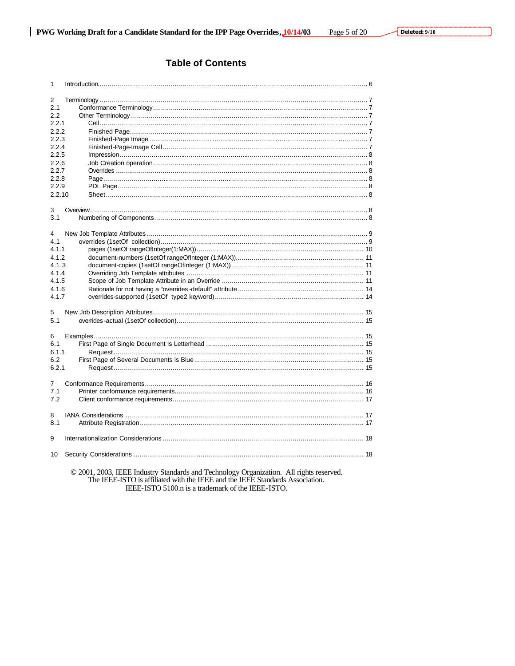### **Table of Contents**

| 2<br>2.1<br>2.2<br>2.2.1<br>2.2.2<br>2.2.3<br>2.2.4<br>2.2.5<br>2.2.6<br>2.2.7<br>2.2.8<br>2.2.9<br>2.2.10<br>3<br>3.1<br>4<br>4.1<br>4.1.1<br>4.1.2<br>4.1.3<br>4.1.4<br>4.1.5<br>4.1.6<br>4.1.7<br>5<br>5.1<br>6<br>6.1<br>6.1.1<br>6.2<br>6.2.1<br>7<br>7.1<br>7.2<br>8<br>8.1<br>9<br>10 | 1 |                                                                                         |  |
|----------------------------------------------------------------------------------------------------------------------------------------------------------------------------------------------------------------------------------------------------------------------------------------------|---|-----------------------------------------------------------------------------------------|--|
|                                                                                                                                                                                                                                                                                              |   |                                                                                         |  |
|                                                                                                                                                                                                                                                                                              |   |                                                                                         |  |
|                                                                                                                                                                                                                                                                                              |   |                                                                                         |  |
|                                                                                                                                                                                                                                                                                              |   |                                                                                         |  |
|                                                                                                                                                                                                                                                                                              |   |                                                                                         |  |
|                                                                                                                                                                                                                                                                                              |   |                                                                                         |  |
|                                                                                                                                                                                                                                                                                              |   |                                                                                         |  |
|                                                                                                                                                                                                                                                                                              |   |                                                                                         |  |
|                                                                                                                                                                                                                                                                                              |   |                                                                                         |  |
|                                                                                                                                                                                                                                                                                              |   |                                                                                         |  |
|                                                                                                                                                                                                                                                                                              |   |                                                                                         |  |
|                                                                                                                                                                                                                                                                                              |   |                                                                                         |  |
|                                                                                                                                                                                                                                                                                              |   |                                                                                         |  |
|                                                                                                                                                                                                                                                                                              |   |                                                                                         |  |
|                                                                                                                                                                                                                                                                                              |   |                                                                                         |  |
|                                                                                                                                                                                                                                                                                              |   |                                                                                         |  |
|                                                                                                                                                                                                                                                                                              |   |                                                                                         |  |
|                                                                                                                                                                                                                                                                                              |   |                                                                                         |  |
|                                                                                                                                                                                                                                                                                              |   |                                                                                         |  |
|                                                                                                                                                                                                                                                                                              |   |                                                                                         |  |
|                                                                                                                                                                                                                                                                                              |   |                                                                                         |  |
|                                                                                                                                                                                                                                                                                              |   |                                                                                         |  |
|                                                                                                                                                                                                                                                                                              |   |                                                                                         |  |
|                                                                                                                                                                                                                                                                                              |   |                                                                                         |  |
|                                                                                                                                                                                                                                                                                              |   |                                                                                         |  |
|                                                                                                                                                                                                                                                                                              |   |                                                                                         |  |
|                                                                                                                                                                                                                                                                                              |   |                                                                                         |  |
|                                                                                                                                                                                                                                                                                              |   |                                                                                         |  |
|                                                                                                                                                                                                                                                                                              |   |                                                                                         |  |
|                                                                                                                                                                                                                                                                                              |   |                                                                                         |  |
|                                                                                                                                                                                                                                                                                              |   |                                                                                         |  |
|                                                                                                                                                                                                                                                                                              |   |                                                                                         |  |
|                                                                                                                                                                                                                                                                                              |   |                                                                                         |  |
|                                                                                                                                                                                                                                                                                              |   |                                                                                         |  |
|                                                                                                                                                                                                                                                                                              |   |                                                                                         |  |
|                                                                                                                                                                                                                                                                                              |   |                                                                                         |  |
|                                                                                                                                                                                                                                                                                              |   |                                                                                         |  |
|                                                                                                                                                                                                                                                                                              |   |                                                                                         |  |
|                                                                                                                                                                                                                                                                                              |   |                                                                                         |  |
|                                                                                                                                                                                                                                                                                              |   |                                                                                         |  |
|                                                                                                                                                                                                                                                                                              |   |                                                                                         |  |
|                                                                                                                                                                                                                                                                                              |   |                                                                                         |  |
|                                                                                                                                                                                                                                                                                              |   |                                                                                         |  |
|                                                                                                                                                                                                                                                                                              |   |                                                                                         |  |
|                                                                                                                                                                                                                                                                                              |   |                                                                                         |  |
|                                                                                                                                                                                                                                                                                              |   |                                                                                         |  |
|                                                                                                                                                                                                                                                                                              |   |                                                                                         |  |
|                                                                                                                                                                                                                                                                                              |   |                                                                                         |  |
|                                                                                                                                                                                                                                                                                              |   | © 2001, 2003, IEEE Industry Standards and Technology Organization. All rights reserved. |  |

The IEEE-ISTO is affiliated with the IEEE and the IEEE Standards Association.<br>IEEE-ISTO is affiliated with the IEEE and the IEEE Standards Association.<br>IEEE-ISTO 5100.n is a trademark of the IEEE-ISTO.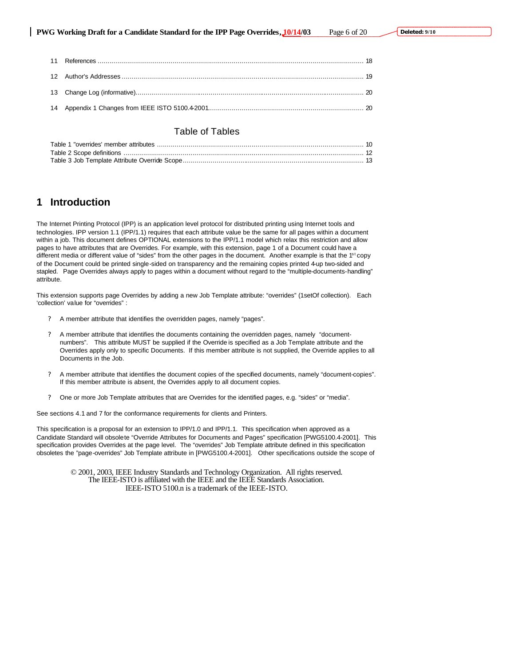### Table of Tables

## **1 Introduction**

The Internet Printing Protocol (IPP) is an application level protocol for distributed printing using Internet tools and technologies. IPP version 1.1 (IPP/1.1) requires that each attribute value be the same for all pages within a document within a job. This document defines OPTIONAL extensions to the IPP/1.1 model which relax this restriction and allow pages to have attributes that are Overrides. For example, with this extension, page 1 of a Document could have a different media or different value of "sides" from the other pages in the document. Another example is that the 1<sup>st</sup> copy of the Document could be printed single-sided on transparency and the remaining copies printed 4-up two-sided and stapled. Page Overrides always apply to pages within a document without regard to the "multiple-documents-handling" attribute.

This extension supports page Overrides by adding a new Job Template attribute: "overrides" (1setOf collection). Each 'collection' value for "overrides" :

- ? A member attribute that identifies the overridden pages, namely "pages".
- ? A member attribute that identifies the documents containing the overridden pages, namely "documentnumbers". This attribute MUST be supplied if the Override is specified as a Job Template attribute and the Overrides apply only to specific Documents. If this member attribute is not supplied, the Override applies to all Documents in the Job.
- ? A member attribute that identifies the document copies of the specified documents, namely "document-copies". If this member attribute is absent, the Overrides apply to all document copies.
- ? One or more Job Template attributes that are Overrides for the identified pages, e.g. "sides" or "media".

See sections 4.1 and 7 for the conformance requirements for clients and Printers.

This specification is a proposal for an extension to IPP/1.0 and IPP/1.1. This specification when approved as a Candidate Standard will obsolete "Override Attributes for Documents and Pages" specification [PWG5100.4-2001]. This specification provides Overrides at the page level. The "overrides" Job Template attribute defined in this specification obsoletes the "page-overrides" Job Template attribute in [PWG5100.4-2001]. Other specifications outside the scope of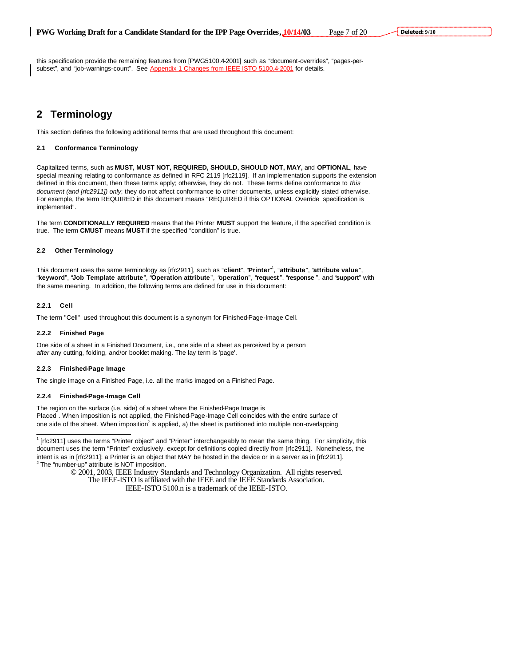this specification provide the remaining features from [PWG5100.4-2001] such as "document-overrides", "pages-persubset", and "job-warnings-count". See Appendix 1 Changes from IEEE ISTO 5100.4-2001 for details.

# **2 Terminology**

This section defines the following additional terms that are used throughout this document:

#### **2.1 Conformance Terminology**

Capitalized terms, such as **MUST, MUST NOT, REQUIRED, SHOULD, SHOULD NOT, MAY,** and **OPTIONAL**, have special meaning relating to conformance as defined in RFC 2119 [rfc2119]. If an implementation supports the extension defined in this document, then these terms apply; otherwise, they do not. These terms define conformance to *this document (and [rfc2911]) only*; they do not affect conformance to other documents, unless explicitly stated otherwise. For example, the term REQUIRED in this document means "REQUIRED if this OPTIONAL Override specification is implemented"*.*

The term **CONDITIONALLY REQUIRED** means that the Printer **MUST** support the feature, if the specified condition is true. The term **CMUST** means **MUST** if the specified "condition" is true.

#### **2.2 Other Terminology**

This document uses the same terminology as [rfc2911], such as "**client**", "**Printer**" 1 , "**attribute**", "**attribute value**", "**keyword**", "**Job Template attribute**", "**Operation attribute**", "**operation**", "**request** ", "**response** ", and "**support**" with the same meaning. In addition, the following terms are defined for use in this document:

#### **2.2.1 Cell**

 $\overline{a}$ 

The term "Cell" used throughout this document is a synonym for Finished-Page-Image Cell.

#### **2.2.2 Finished Page**

One side of a sheet in a Finished Document, i.e., one side of a sheet as perceived by a person *after* any cutting, folding, and/or booklet making. The lay term is 'page'.

#### **2.2.3 Finished-Page Image**

The single image on a Finished Page, i.e. all the marks imaged on a Finished Page.

#### **2.2.4 Finished-Page-Image Cell**

The region on the surface (i.e. side) of a sheet where the Finished-Page Image is Placed . When imposition is not applied, the Finished-Page-Image Cell coincides with the entire surface of one side of the sheet. When imposition<sup>2</sup> is applied, a) the sheet is partitioned into multiple non-overlapping

<sup>1</sup> [rfc2911] uses the terms "Printer object" and "Printer" interchangeably to mean the same thing. For simplicity, this document uses the term "Printer" exclusively, except for definitions copied directly from [rfc2911]. Nonetheless, the intent is as in [rfc2911]: a Printer is an object that MAY be hosted in the device or in a server as in [rfc2911]. <sup>2</sup> The "number-up" attribute is NOT imposition.

> © 2001, 2003, IEEE Industry Standards and Technology Organization. All rights reserved. The IEEE-ISTO is affiliated with the IEEE and the IEEE Standards Association.

IEEE-ISTO 5100.n is a trademark of the IEEE-ISTO.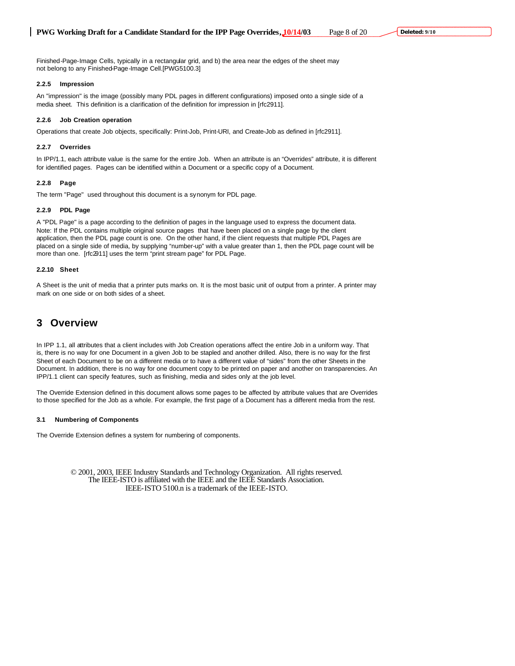Finished-Page-Image Cells, typically in a rectangular grid, and b) the area near the edges of the sheet may not belong to any Finished-Page-Image Cell.[PWG5100.3]

#### **2.2.5 Impression**

An "impression" is the image (possibly many PDL pages in different configurations) imposed onto a single side of a media sheet. This definition is a clarification of the definition for impression in [rfc2911].

#### **2.2.6 Job Creation operation**

Operations that create Job objects, specifically: Print-Job, Print-URI, and Create-Job as defined in [rfc2911].

#### **2.2.7 Overrides**

In IPP/1.1, each attribute value is the same for the entire Job. When an attribute is an "Overrides" attribute, it is different for identified pages. Pages can be identified within a Document or a specific copy of a Document.

#### **2.2.8 Page**

The term "Page" used throughout this document is a synonym for PDL page.

#### **2.2.9 PDL Page**

A "PDL Page" is a page according to the definition of pages in the language used to express the document data. Note: If the PDL contains multiple original source pages that have been placed on a single page by the client application, then the PDL page count is one. On the other hand, if the client requests that multiple PDL Pages are placed on a single side of media, by supplying "number-up" with a value greater than 1, then the PDL page count will be more than one. [rfc2911] uses the term "print stream page" for PDL Page.

#### **2.2.10 Sheet**

A Sheet is the unit of media that a printer puts marks on. It is the most basic unit of output from a printer. A printer may mark on one side or on both sides of a sheet.

### **3 Overview**

In IPP 1.1, all attributes that a client includes with Job Creation operations affect the entire Job in a uniform way. That is, there is no way for one Document in a given Job to be stapled and another drilled. Also, there is no way for the first Sheet of each Document to be on a different media or to have a different value of "sides" from the other Sheets in the Document. In addition, there is no way for one document copy to be printed on paper and another on transparencies. An IPP/1.1 client can specify features, such as finishing, media and sides only at the job level.

The Override Extension defined in this document allows some pages to be affected by attribute values that are Overrides to those specified for the Job as a whole. For example, the first page of a Document has a different media from the rest.

#### **3.1 Numbering of Components**

The Override Extension defines a system for numbering of components.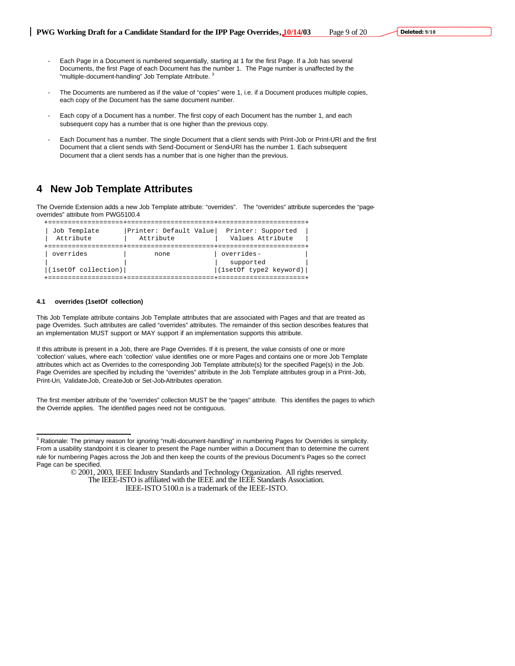- Each Page in a Document is numbered sequentially, starting at 1 for the first Page. If a Job has several Documents, the first Page of each Document has the number 1. The Page number is unaffected by the "multiple-document-handling" Job Template Attribute.<sup>3</sup>
- The Documents are numbered as if the value of "copies" were 1, i.e. if a Document produces multiple copies, each copy of the Document has the same document number.
- Each copy of a Document has a number. The first copy of each Document has the number 1, and each subsequent copy has a number that is one higher than the previous copy.
- Each Document has a number. The single Document that a client sends with Print-Job or Print-URI and the first Document that a client sends with Send-Document or Send-URI has the number 1. Each subsequent Document that a client sends has a number that is one higher than the previous.

### **4 New Job Template Attributes**

The Override Extension adds a new Job Template attribute: "overrides". The "overrides" attribute supercedes the "pageoverrides" attribute from PWG5100.4

```
 +===================+======================+======================+
 | Job Template |Printer: Default Value| Printer: Supported |
 | Attribute | Attribute | Values Attribute |
  +===================+======================+======================+
 | overrides | none | overrides-
                                         supported
  |(1setOf collection)| |(1setOf type2 keyword)|
  +===================+======================+======================+
```
#### **4.1 overrides (1setOf collection)**

 $\overline{a}$ 

This Job Template attribute contains Job Template attributes that are associated with Pages and that are treated as page Overrides. Such attributes are called "overrides" attributes. The remainder of this section describes features that an implementation MUST support or MAY support if an implementation supports this attribute.

If this attribute is present in a Job, there are Page Overrides. If it is present, the value consists of one or more 'collection' values, where each 'collection' value identifies one or more Pages and contains one or more Job Template attributes which act as Overrides to the corresponding Job Template attribute(s) for the specified Page(s) in the Job. Page Overrides are specified by including the "overrides" attribute in the Job Template attributes group in a Print-Job, Print-Uri, Validate-Job, Create-Job or Set-Job-Attributes operation.

The first member attribute of the "overrides" collection MUST be the "pages" attribute. This identifies the pages to which the Override applies. The identified pages need not be contiguous.

<sup>&</sup>lt;sup>3</sup> Rationale: The primary reason for ignoring "multi-document-handling" in numbering Pages for Overrides is simplicity. From a usability standpoint it is cleaner to present the Page number within a Document than to determine the current rule for numbering Pages across the Job and then keep the counts of the previous Document's Pages so the correct Page can be specified.

<sup>© 2001, 2003,</sup> IEEE Industry Standards and Technology Organization. All rights reserved. The IEEE-ISTO is affiliated with the IEEE and the IEEE Standards Association.

IEEE-ISTO 5100.n is a trademark of the IEEE-ISTO.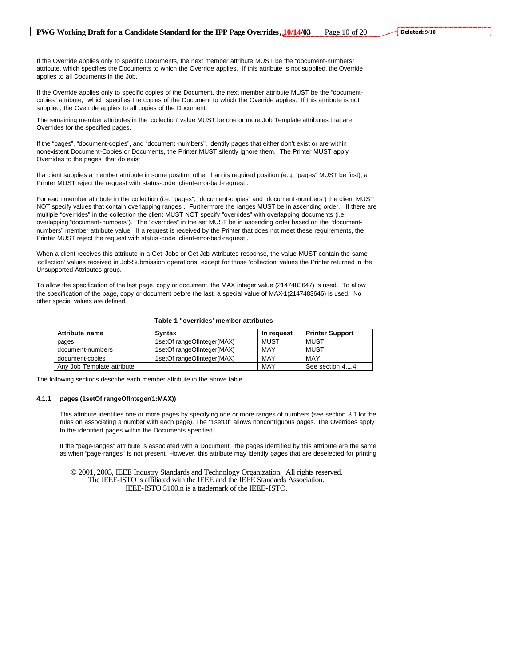If the Override applies only to specific Documents, the next member attribute MUST be the "document-numbers" attribute, which specifies the Documents to which the Override applies. If this attribute is not supplied, the Override applies to all Documents in the Job.

If the Override applies only to specific copies of the Document, the next member attribute MUST be the "documentcopies" attribute, which specifies the copies of the Document to which the Override applies. If this attribute is not supplied, the Override applies to all copies of the Document.

The remaining member attributes in the 'collection' value MUST be one or more Job Template attributes that are Overrides for the specified pages.

If the "pages", "document-copies", and "document -numbers", identify pages that either don't exist or are within nonexistent Document-Copies or Documents, the Printer MUST silently ignore them. The Printer MUST apply Overrides to the pages that do exist .

If a client supplies a member attribute in some position other than its required position (e.g. "pages" MUST be first), a Printer MUST reject the request with status-code 'client-error-bad-request'.

For each member attribute in the collection (i.e. "pages", "document-copies" and "document -numbers") the client MUST NOT specify values that contain overlapping ranges . Furthermore the ranges MUST be in ascending order. If there are multiple "overrides" in the collection the client MUST NOT specify "overrides" with overlapping documents (i.e. overlapping "document-numbers"). The "overrides" in the set MUST be in ascending order based on the "documentnumbers" member attribute value. If a request is received by the Printer that does not meet these requirements, the Printer MUST reject the request with status -code 'client-error-bad-request'.

When a client receives this attribute in a Get-Jobs or Get-Job-Attributes response, the value MUST contain the same 'collection' values received in Job-Submission operations, except for those 'collection' values the Printer returned in the Unsupported Attributes group.

To allow the specification of the last page, copy or document, the MAX integer value (2147483647) is used. To allow the specification of the page, copy or document before the last, a special value of MAX-1(2147483646) is used. No other special values are defined.

#### **Table 1 "overrides' member attributes**

| Attribute name             | <b>Syntax</b>              | In request  | <b>Printer Support</b> |
|----------------------------|----------------------------|-------------|------------------------|
| pages                      | 1setOf rangeOfInteger(MAX) | <b>MUST</b> | MUST                   |
| document-numbers           | 1setOf rangeOfInteger(MAX) | MAY         | MUST                   |
| document-copies            | 1setOf_rangeOfInteger(MAX) | MAY         | MAY                    |
| Any Job Template attribute |                            | MAY         | See section 4.1.4      |

The following sections describe each member attribute in the above table.

#### **4.1.1 pages (1setOf rangeOfInteger(1:MAX))**

This attribute identifies one or more pages by specifying one or more ranges of numbers (see section 3.1 for the rules on associating a number with each page). The "1setOf" allows noncontiguous pages. The Overrides apply to the identified pages within the Documents specified.

If the "page-ranges" attribute is associated with a Document, the pages identified by this attribute are the same as when "page-ranges" is not present. However, this attribute may identify pages that are deselected for printing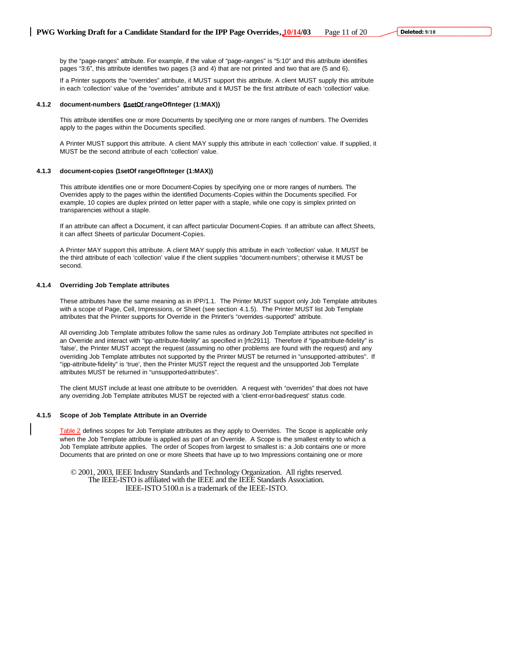by the "page-ranges" attribute. For example, if the value of "page-ranges" is "5:10" and this attribute identifies pages "3:6", this attribute identifies two pages (3 and 4) that are not printed and two that are (5 and 6).

If a Printer supports the "overrides" attribute, it MUST support this attribute. A client MUST supply this attribute in each 'collection' value of the "overrides" attribute and it MUST be the first attribute of each 'collection' value.

#### **4.1.2 document-numbers (1setOf rangeOfInteger (1:MAX))**

This attribute identifies one or more Documents by specifying one or more ranges of numbers. The Overrides apply to the pages within the Documents specified.

A Printer MUST support this attribute. A client MAY supply this attribute in each 'collection' value. If supplied, it MUST be the second attribute of each 'collection' value.

#### **4.1.3 document-copies (1setOf rangeOfInteger (1:MAX))**

This attribute identifies one or more Document-Copies by specifying one or more ranges of numbers. The Overrides apply to the pages within the identified Documents-Copies within the Documents specified. For example, 10 copies are duplex printed on letter paper with a staple, while one copy is simplex printed on transparencies without a staple.

If an attribute can affect a Document, it can affect particular Document-Copies. If an attribute can affect Sheets, it can affect Sheets of particular Document-Copies.

A Printer MAY support this attribute. A client MAY supply this attribute in each 'collection' value. It MUST be the third attribute of each 'collection' value if the client supplies "document-numbers'; otherwise it MUST be second.

#### **4.1.4 Overriding Job Template attributes**

These attributes have the same meaning as in IPP/1.1. The Printer MUST support only Job Template attributes with a scope of Page, Cell, Impressions, or Sheet (see section 4.1.5). The Printer MUST list Job Template attributes that the Printer supports for Override in the Printer's "overrides -supported" attribute.

All overriding Job Template attributes follow the same rules as ordinary Job Template attributes not specified in an Override and interact with "ipp-attribute-fidelity" as specified in [rfc2911]. Therefore if "ipp-attribute-fidelity" is 'false', the Printer MUST accept the request (assuming no other problems are found with the request) and any overriding Job Template attributes not supported by the Printer MUST be returned in "unsupported-attributes". If "ipp-attribute-fidelity" is 'true', then the Printer MUST reject the request and the unsupported Job Template attributes MUST be returned in "unsupported-attributes".

The client MUST include at least one attribute to be overridden. A request with "overrides" that does not have any overriding Job Template attributes MUST be rejected with a 'client-error-bad-request' status code.

#### **4.1.5 Scope of Job Template Attribute in an Override**

Table 2 defines scopes for Job Template attributes as they apply to Overrides. The Scope is applicable only when the Job Template attribute is applied as part of an Override. A Scope is the smallest entity to which a Job Template attribute applies. The order of Scopes from largest to smallest is: a Job contains one or more Documents that are printed on one or more Sheets that have up to two Impressions containing one or more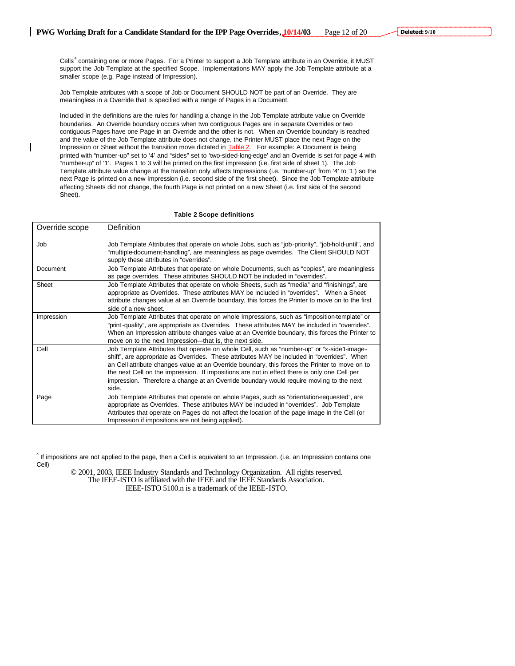Cells<sup>4</sup> containing one or more Pages. For a Printer to support a Job Template attribute in an Override, it MUST support the Job Template at the specified Scope. Implementations MAY apply the Job Template attribute at a smaller scope (e.g. Page instead of Impression).

Job Template attributes with a scope of Job or Document SHOULD NOT be part of an Override. They are meaningless in a Override that is specified with a range of Pages in a Document.

Included in the definitions are the rules for handling a change in the Job Template attribute value on Override boundaries. An Override boundary occurs when two contiguous Pages are in separate Overrides or two contiguous Pages have one Page in an Override and the other is not. When an Override boundary is reached and the value of the Job Template attribute does not change, the Printer MUST place the next Page on the Impression or Sheet without the transition move dictated in **Table 2.** For example: A Document is being printed with "number-up" set to '4' and "sides" set to 'two-sided-long-edge' and an Override is set for page 4 with "number-up" of '1'. Pages 1 to 3 will be printed on the first impression (i.e. first side of sheet 1). The Job Template attribute value change at the transition only affects Impressions (i.e. "number-up" from '4' to '1') so the next Page is printed on a new Impression (i.e. second side of the first sheet). Since the Job Template attribute affecting Sheets did not change, the fourth Page is not printed on a new Sheet (i.e. first side of the second Sheet).

#### **Table 2 Scope definitions**

| Override scope | Definition                                                                                                                                                                                                                                                                                                                                                                                                                                                                                      |
|----------------|-------------------------------------------------------------------------------------------------------------------------------------------------------------------------------------------------------------------------------------------------------------------------------------------------------------------------------------------------------------------------------------------------------------------------------------------------------------------------------------------------|
| Job            | Job Template Attributes that operate on whole Jobs, such as "job-priority", "job-hold-until", and<br>"multiple-document-handling", are meaningless as page overrides. The Client SHOULD NOT<br>supply these attributes in "overrides".                                                                                                                                                                                                                                                          |
| Document       | Job Template Attributes that operate on whole Documents, such as "copies", are meaningless<br>as page overrides. These attributes SHOULD NOT be included in "overrides".                                                                                                                                                                                                                                                                                                                        |
| Sheet          | Job Template Attributes that operate on whole Sheets, such as "media" and "finishings", are<br>appropriate as Overrides. These attributes MAY be included in "overrides". When a Sheet<br>attribute changes value at an Override boundary, this forces the Printer to move on to the first<br>side of a new sheet.                                                                                                                                                                              |
| Impression     | Job Template Attributes that operate on whole Impressions, such as "imposition-template" or<br>"print-quality", are appropriate as Overrides. These attributes MAY be included in "overrides".<br>When an Impression attribute changes value at an Override boundary, this forces the Printer to<br>move on to the next Impression—that is, the next side.                                                                                                                                      |
| Cell           | Job Template Attributes that operate on whole Cell, such as "number-up" or "x-side1-image-<br>shift", are appropriate as Overrides. These attributes MAY be included in "overrides". When<br>an Cell attribute changes value at an Override boundary, this forces the Printer to move on to<br>the next Cell on the impression. If impositions are not in effect there is only one Cell per<br>impression. Therefore a change at an Override boundary would require moving to the next<br>side. |
| Page           | Job Template Attributes that operate on whole Pages, such as "orientation-requested", are<br>appropriate as Overrides. These attributes MAY be included in "overrides". Job Template<br>Attributes that operate on Pages do not affect the location of the page image in the Cell (or<br>Impression if impositions are not being applied).                                                                                                                                                      |

<sup>&</sup>lt;sup>4</sup> If impositions are not applied to the page, then a Cell is equivalent to an Impression. (i.e. an Impression contains one Cell)

 $\overline{a}$ 

<sup>© 2001, 2003,</sup> IEEE Industry Standards and Technology Organization. All rights reserved. The IEEE-ISTO is affiliated with the IEEE and the IEEE Standards Association. IEEE-ISTO 5100.n is a trademark of the IEEE-ISTO.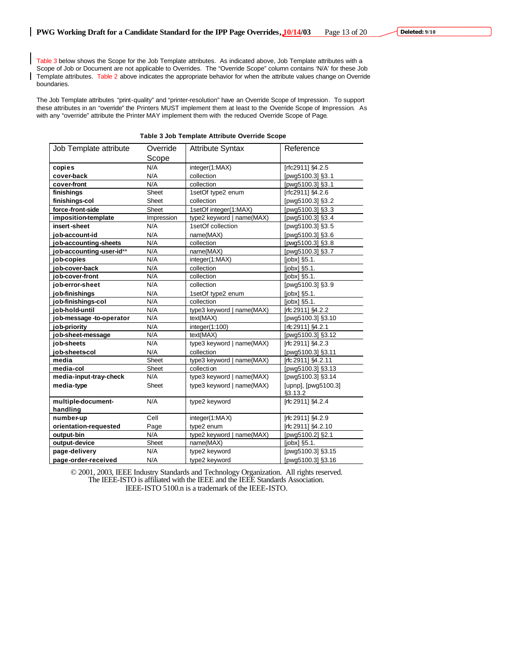Table 3 below shows the Scope for the Job Template attributes. As indicated above, Job Template attributes with a Scope of Job or Document are not applicable to Overrides. The "Override Scope" column contains 'N/A' for these Job Template attributes. Table 2 above indicates the appropriate behavior for when the attribute values change on Override boundaries.

The Job Template attributes "print-quality" and "printer-resolution" have an Override Scope of Impression. To support these attributes in an "override" the Printers MUST implement them at least to the Override Scope of Impression. As with any "override" attribute the Printer MAY implement them with the reduced Override Scope of Page.

#### **Table 3 Job Template Attribute Override Scope**

| Job Template attribute   | Override   | <b>Attribute Syntax</b>   | Reference                      |
|--------------------------|------------|---------------------------|--------------------------------|
|                          | Scope      |                           |                                |
| copies                   | N/A        | integer(1:MAX)            | [rfc2911] §4.2.5               |
| cover-back               | N/A        | collection                | [pwg5100.3] §3.1               |
| cover-front              | N/A        | collection                | [pwg5100.3] §3.1               |
| finishings               | Sheet      | 1setOf type2 enum         | [rfc2911] §4.2.6               |
| finishings-col           | Sheet      | collection                | [pwg5100.3] §3.2               |
| force-front-side         | Sheet      | 1setOf integer(1:MAX)     | [pwg5100.3] §3.3               |
| imposition-template      | Impression | type2 keyword   name(MAX) | [pwg5100.3] §3.4               |
| insert-sheet             | N/A        | 1setOf collection         | [pwg5100.3] §3.5               |
| job-account-id           | N/A        | name(MAX)                 | [pwg5100.3] §3.6               |
| job-accounting-sheets    | N/A        | collection                | [pwg5100.3] §3.8               |
| job-accounting-user-id** | N/A        | name(MAX)                 | [pwg5100.3] §3.7               |
| job-copies               | N/A        | integer(1:MAX)            | $[jobx]$ §5.1.                 |
| job-cover-back           | N/A        | collection                | $[jobx]$ §5.1.                 |
| iob-cover-front          | N/A        | collection                | $[jobx]$ §5.1.                 |
| job-error-sheet          | N/A        | collection                | [pwg5100.3] §3.9               |
| job-finishings           | N/A        | 1setOf type2 enum         | $[jobx]$ §5.1.                 |
| job-finishings-col       | N/A        | collection                | [jobx] §5.1.                   |
| iob-hold-until           | N/A        | type3 keyword   name(MAX) | [rfc 2911] §4.2.2              |
| job-message-to-operator  | N/A        | text(MAX)                 | [pwg5100.3] §3.10              |
| job-priority             | N/A        | integer(1:100)            | [rfc 2911] \$4.2.1             |
| job-sheet-message        | N/A        | text(MAX)                 | [pwg5100.3] §3.12              |
| job-sheets               | N/A        | type3 keyword   name(MAX) | [rfc 2911] §4.2.3              |
| job-sheetscol            | N/A        | collection                | [pwg5100.3] §3.11              |
| media                    | Sheet      | type3 keyword   name(MAX) | [rfc 2911] §4.2.11             |
| media-col                | Sheet      | collection                | [pwg5100.3] §3.13              |
| media-input-tray-check   | N/A        | type3 keyword   name(MAX) | [pwg5100.3] §3.14              |
| media-type               | Sheet      | type3 keyword   name(MAX) | [upnp], [pwg5100.3]<br>§3.13.2 |
| multiple-document-       | N/A        | type2 keyword             | [rfc 2911] §4.2.4              |
| handling                 |            |                           |                                |
| number-up                | Cell       | integer(1:MAX)            | [rfc 2911] §4.2.9              |
| orientation-requested    | Page       | type2 enum                | [rfc 2911] §4.2.10             |
| output-bin               | N/A        | type2 keyword   name(MAX) | [pwg5100.2] §2.1               |
| output-device            | Sheet      | name(MAX)                 | [jobx] §5.1.                   |
| page-delivery            | N/A        | type2 keyword             | [pwg5100.3] §3.15              |
| page-order-received      | N/A        | type2 keyword             | [pwg5100.3] §3.16              |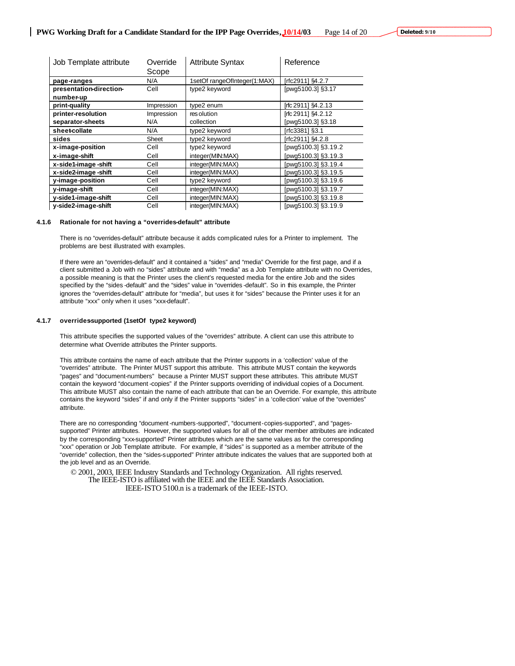| Job Template attribute  | Override<br>Scope | <b>Attribute Syntax</b>      | Reference           |
|-------------------------|-------------------|------------------------------|---------------------|
| page-ranges             | N/A               | 1setOf rangeOfInteger(1:MAX) | [rfc2911] §4.2.7    |
| presentation-direction- | Cell              | type2 keyword                | [pwg5100.3] §3.17   |
| number-up               |                   |                              |                     |
| print-quality           | Impression        | type2 enum                   | [rfc 2911] \$4.2.13 |
| printer-resolution      | Impression        | res olution                  | [rfc 2911] \$4.2.12 |
| separator-sheets        | N/A               | collection                   | [pwg5100.3] §3.18   |
| sheet-collate           | N/A               | type2 keyword                | [rfc3381] §3.1      |
| sides                   | Sheet             | type2 keyword                | [rfc2911] §4.2.8    |
| x-image-position        | Cell              | type2 keyword                | [pwg5100.3] §3.19.2 |
| x-image-shift           | Cell              | integer(MIN:MAX)             | pwg5100.3] §3.19.3  |
| x-side1-image-shift     | Cell              | integer(MIN:MAX)             | pwg5100.3] §3.19.4  |
| x-side2-image-shift     | Cell              | integer(MIN:MAX)             | [pwg5100.3] §3.19.5 |
| y-image-position        | Cell              | type2 keyword                | [pwg5100.3] §3.19.6 |
| y-image-shift           | Cell              | integer(MIN:MAX)             | [pwg5100.3] §3.19.7 |
| y-side1-image-shift     | Cell              | integer(MIN:MAX)             | [pwg5100.3] §3.19.8 |
| y-side2-image-shift     | Cell              | integer(MIN:MAX)             | [pwg5100.3] §3.19.9 |

#### **4.1.6 Rationale for not having a "overrides-default" attribute**

There is no "overrides-default" attribute because it adds complicated rules for a Printer to implement. The problems are best illustrated with examples.

If there were an "overrides-default" and it contained a "sides" and "media" Override for the first page, and if a client submitted a Job with no "sides" attribute and with "media" as a Job Template attribute with no Overrides, a possible meaning is that the Printer uses the client's requested media for the entire Job and the sides specified by the "sides -default" and the "sides" value in "overrides -default". So in this example, the Printer ignores the "overrides-default" attribute for "media", but uses it for "sides" because the Printer uses it for an attribute "xxx" only when it uses "xxx-default".

#### **4.1.7 overrides-supported (1setOf type2 keyword)**

This attribute specifies the supported values of the "overrides" attribute. A client can use this attribute to determine what Override attributes the Printer supports.

This attribute contains the name of each attribute that the Printer supports in a 'collection' value of the "overrides" attribute. The Printer MUST support this attribute. This attribute MUST contain the keywords "pages" and "document-numbers" because a Printer MUST support these attributes. This attribute MUST contain the keyword "document -copies" if the Printer supports overriding of individual copies of a Document. This attribute MUST also contain the name of each attribute that can be an Override. For example, this attribute contains the keyword "sides" if and only if the Printer supports "sides" in a 'collection' value of the "overrides" attribute.

There are no corresponding "document -numbers-supported", "document-copies-supported", and "pagessupported" Printer attributes. However, the supported values for all of the other member attributes are indicated by the corresponding "xxx-supported" Printer attributes which are the same values as for the corresponding "xxx" operation or Job Template attribute. For example, if "sides" is supported as a member attribute of the "override" collection, then the "sides-supported" Printer attribute indicates the values that are supported both at the job level and as an Override.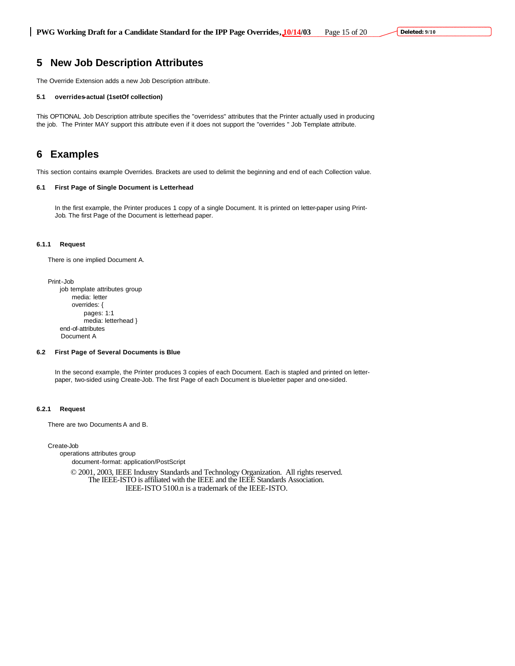### **5 New Job Description Attributes**

The Override Extension adds a new Job Description attribute.

#### **5.1 overrides-actual (1setOf collection)**

This OPTIONAL Job Description attribute specifies the "overridess" attributes that the Printer actually used in producing the job. The Printer MAY support this attribute even if it does not support the "overrides " Job Template attribute.

### **6 Examples**

This section contains example Overrides. Brackets are used to delimit the beginning and end of each Collection value.

#### **6.1 First Page of Single Document is Letterhead**

In the first example, the Printer produces 1 copy of a single Document. It is printed on letter-paper using Print-Job. The first Page of the Document is letterhead paper.

#### **6.1.1 Request**

There is one implied Document A.

Print-Job

job template attributes group media: letter overrides: { pages: 1:1 media: letterhead } end-of-attributes Document A

#### **6.2 First Page of Several Documents is Blue**

In the second example, the Printer produces 3 copies of each Document. Each is stapled and printed on letterpaper, two-sided using Create-Job. The first Page of each Document is blue-letter paper and one-sided.

#### **6.2.1 Request**

There are two Documents A and B.

Create-Job

operations attributes group document-format: application/PostScript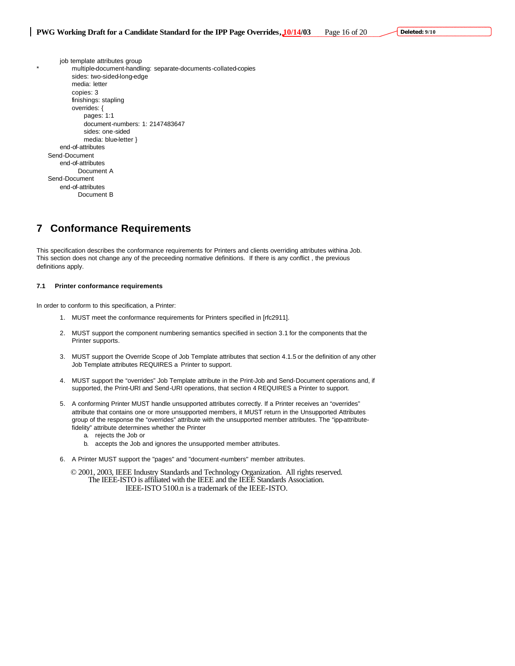job template attributes group multiple-document-handling: separate-documents-collated-copies sides: two-sided-long-edge media: letter copies: 3 finishings: stapling overrides: { pages: 1:1 document-numbers: 1: 2147483647 sides: one-sided media: blue-letter } end-of-attributes Send-Document end-of-attributes Document A Send-Document end-of-attributes Document B

# **7 Conformance Requirements**

This specification describes the conformance requirements for Printers and clients overriding attributes withina Job. This section does not change any of the preceeding normative definitions. If there is any conflict , the previous definitions apply.

#### **7.1 Printer conformance requirements**

In order to conform to this specification, a Printer:

- 1. MUST meet the conformance requirements for Printers specified in [rfc2911].
- 2. MUST support the component numbering semantics specified in section 3.1 for the components that the Printer supports.
- 3. MUST support the Override Scope of Job Template attributes that section 4.1.5 or the definition of any other Job Template attributes REQUIRES a Printer to support.
- 4. MUST support the "overrides" Job Template attribute in the Print-Job and Send-Document operations and, if supported, the Print-URI and Send-URI operations, that section 4 REQUIRES a Printer to support.
- 5. A conforming Printer MUST handle unsupported attributes correctly. If a Printer receives an "overrides" attribute that contains one or more unsupported members, it MUST return in the Unsupported Attributes group of the response the "overrides" attribute with the unsupported member attributes. The "ipp-attributefidelity" attribute determines whether the Printer
	- a. rejects the Job or
	- b. accepts the Job and ignores the unsupported member attributes.
- 6. A Printer MUST support the "pages" and "document-numbers" member attributes.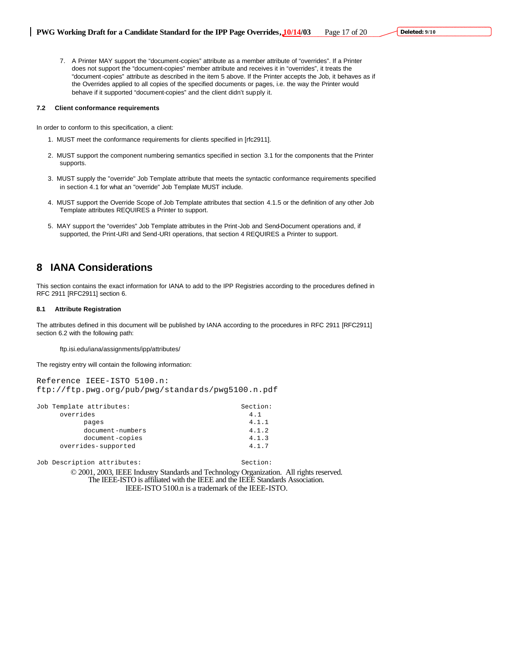7. A Printer MAY support the "document-copies" attribute as a member attribute of "overrides". If a Printer does not support the "document-copies" member attribute and receives it in "overrides", it treats the "document -copies" attribute as described in the item 5 above. If the Printer accepts the Job, it behaves as if the Overrides applied to all copies of the specified documents or pages, i.e. the way the Printer would behave if it supported "document-copies" and the client didn't supply it.

#### **7.2 Client conformance requirements**

In order to conform to this specification, a client:

- 1. MUST meet the conformance requirements for clients specified in [rfc2911].
- 2. MUST support the component numbering semantics specified in section 3.1 for the components that the Printer supports.
- 3. MUST supply the "override" Job Template attribute that meets the syntactic conformance requirements specified in section 4.1 for what an "override" Job Template MUST include.
- 4. MUST support the Override Scope of Job Template attributes that section 4.1.5 or the definition of any other Job Template attributes REQUIRES a Printer to support.
- 5. MAY support the "overrides" Job Template attributes in the Print-Job and Send-Document operations and, if supported, the Print-URI and Send-URI operations, that section 4 REQUIRES a Printer to support.

### **8 IANA Considerations**

This section contains the exact information for IANA to add to the IPP Registries according to the procedures defined in RFC 2911 [RFC2911] section 6.

#### **8.1 Attribute Registration**

The attributes defined in this document will be published by IANA according to the procedures in RFC 2911 [RFC2911] section 6.2 with the following path:

ftp.isi.edu/iana/assignments/ipp/attributes/

The registry entry will contain the following information:

Reference IEEE-ISTO 5100.n: ftp://ftp.pwg.org/pub/pwg/standards/pwg5100.n.pdf

| Job Template attributes: | Section: |
|--------------------------|----------|
| overrides                | 4.1      |
| pages                    | 4.1.1    |
| document-numbers         | 4.1.2    |
| document-copies          | 4.1.3    |
| overrides-supported      | 4.1.7    |

Job Description attributes: Section: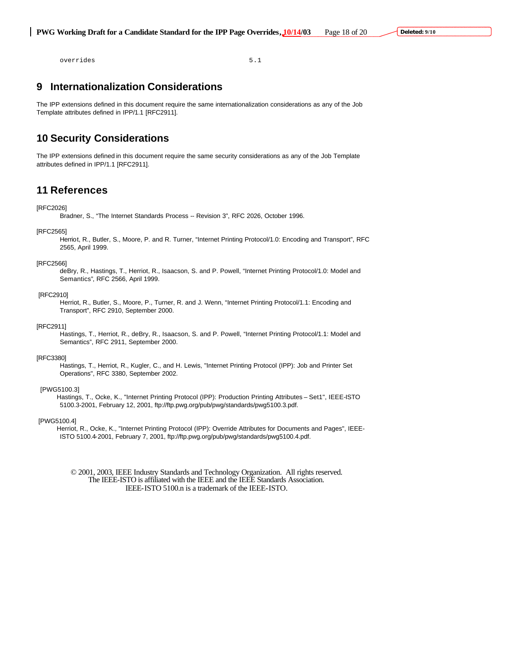overrides 5.1

## **9 Internationalization Considerations**

The IPP extensions defined in this document require the same internationalization considerations as any of the Job Template attributes defined in IPP/1.1 [RFC2911].

# **10 Security Considerations**

The IPP extensions defined in this document require the same security considerations as any of the Job Template attributes defined in IPP/1.1 [RFC2911].

# **11 References**

#### [RFC2026]

Bradner, S., "The Internet Standards Process -- Revision 3", RFC 2026, October 1996.

#### [RFC2565]

Herriot, R., Butler, S., Moore, P. and R. Turner, "Internet Printing Protocol/1.0: Encoding and Transport", RFC 2565, April 1999.

#### [RFC2566]

deBry, R., Hastings, T., Herriot, R., Isaacson, S. and P. Powell, "Internet Printing Protocol/1.0: Model and Semantics", RFC 2566, April 1999.

#### [RFC2910]

Herriot, R., Butler, S., Moore, P., Turner, R. and J. Wenn, "Internet Printing Protocol/1.1: Encoding and Transport", RFC 2910, September 2000.

#### [RFC2911]

Hastings, T., Herriot, R., deBry, R., Isaacson, S. and P. Powell, "Internet Printing Protocol/1.1: Model and Semantics", RFC 2911, September 2000.

#### [RFC3380]

Hastings, T., Herriot, R., Kugler, C., and H. Lewis, "Internet Printing Protocol (IPP): Job and Printer Set Operations", RFC 3380, September 2002.

#### [PWG5100.3]

Hastings, T., Ocke, K., "Internet Printing Protocol (IPP): Production Printing Attributes – Set1", IEEE-ISTO 5100.3-2001, February 12, 2001, ftp://ftp.pwg.org/pub/pwg/standards/pwg5100.3.pdf.

#### [PWG5100.4]

Herriot, R., Ocke, K., "Internet Printing Protocol (IPP): Override Attributes for Documents and Pages", IEEE-ISTO 5100.4-2001, February 7, 2001, ftp://ftp.pwg.org/pub/pwg/standards/pwg5100.4.pdf.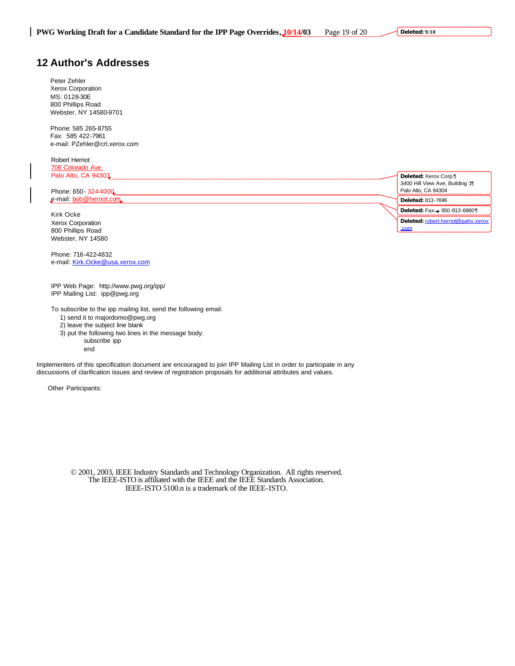# **12 Author's Addresses**

Peter Zehler Xerox Corporation MS: 0128-30E 800 Phillips Road Webster, NY 14580-9701

Phone: 585 265-8755 Fax: 585 422-7961 e-mail: PZehler@crt.xerox.com

Robert Herriot 706 Colorado Ave.

| Palo Alto, CA 94303<br>Phone: 650 - 324-4000 | Deleted: Xerox Corp.<br>3400 Hill View Ave, Building 1¶<br>Palo Alto, CA 94304 |
|----------------------------------------------|--------------------------------------------------------------------------------|
| e-mail: bob@herriot.com                      | Deleted: 813-7696                                                              |
| Kirk Ocke                                    | Deleted: Fax: - 650-813-68601                                                  |
| Xerox Corporation                            | Deleted: robert.herriot@pahv.xerox                                             |
| 800 Phillips Road                            | .com                                                                           |
| Webster, NY 14580                            |                                                                                |

Phone: 716-422-4832 e-mail: Kirk.Ocke@usa.xerox.com

IPP Web Page: http://www.pwg.org/ipp/ IPP Mailing List: ipp@pwg.org

To subscribe to the ipp mailing list, send the following email:

1) send it to majordomo@pwg.org

2) leave the subject line blank

3) put the following two lines in the message body:

subscribe ipp

end

Implementers of this specification document are encouraged to join IPP Mailing List in order to participate in any discussions of clarification issues and review of registration proposals for additional attributes and values.

Other Participants: